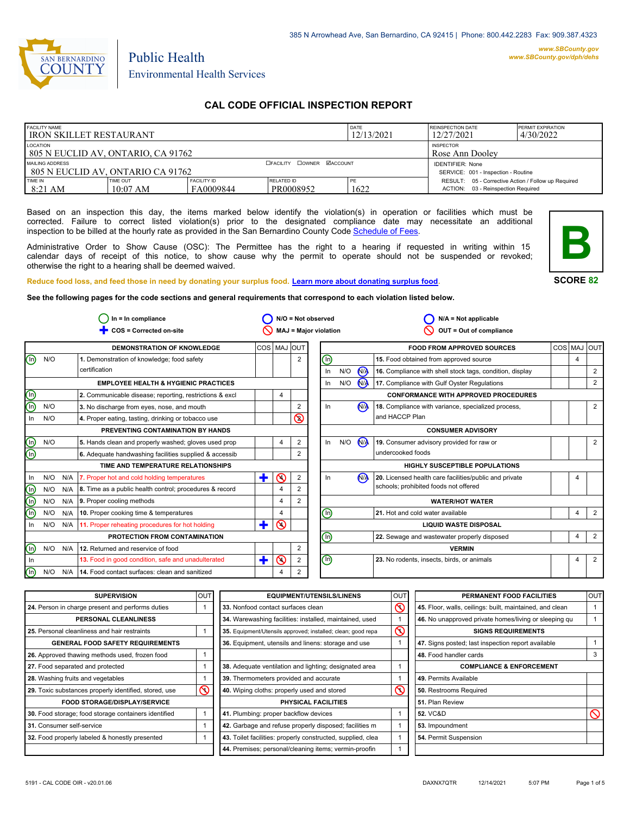

# Environmental Health Services

Public Health

# **CAL CODE OFFICIAL INSPECTION REPORT**

| <b>FACILITY NAME</b><br><b>IRON SKILLET RESTAURANT</b>       |                        |                                  |                                                                | DATE<br>12/13/2021 | <b>REINSPECTION DATE</b><br>12/27/2021                                                    | <b>PERMIT EXPIRATION</b><br>4/30/2022 |
|--------------------------------------------------------------|------------------------|----------------------------------|----------------------------------------------------------------|--------------------|-------------------------------------------------------------------------------------------|---------------------------------------|
| LOCATION<br>805 N EUCLID AV, ONTARIO, CA 91762               |                        |                                  |                                                                |                    | <b>INSPECTOR</b><br>Rose Ann Doolev                                                       |                                       |
| <b>MAILING ADDRESS</b><br>1805 N EUCLID AV. ONTARIO CA 91762 |                        | <b>OFACILITY COWNER MACCOUNT</b> | <b>IDENTIFIER: None</b><br>SERVICE: 001 - Inspection - Routine |                    |                                                                                           |                                       |
| <b>TIME IN</b><br>$8:21$ AM                                  | TIME OUT<br>$10:07$ AM | <b>FACILITY ID</b><br>FA0009844  | RELATED ID<br>PR0008952                                        | PE<br>1622         | RESULT: 05 - Corrective Action / Follow up Required<br>ACTION: 03 - Reinspection Required |                                       |

Based on an inspection this day, the items marked below identify the violation(s) in operation or facilities which must be corrected. Failure to correct listed violation(s) prior to the designated compliance date may necessitate an additional inspection to be billed at the hourly rate as provided in the San Bernardino County Co[de Schedule of Fees.](https://codelibrary.amlegal.com/codes/sanbernardino/latest/sanberncty_ca/0-0-0-122474#JD_16.0213B)

Administrative Order to Show Cause (OSC): The Permittee has the right to a hearing if requested in writing within 15 calendar days of receipt of this notice, to show cause why the permit to operate should not be suspended or revoked; otherwise the right to a hearing shall be deemed waived.



**SCORE 82**

**Reduce food loss, and feed those in need by donating your surplus f[ood. Learn more about donating surplus food.](https://wp.sbcounty.gov/dph/programs/ehs/charitable-food-service/)**

**See the following pages for the code sections and general requirements that correspond to each violation listed below.**

|                                |     |             | $In = In$ compliance                                          |             |                |                | $N/O = Not observed$           |     |                      | $N/A = Not$ applicable                                   |            |                |       |
|--------------------------------|-----|-------------|---------------------------------------------------------------|-------------|----------------|----------------|--------------------------------|-----|----------------------|----------------------------------------------------------|------------|----------------|-------|
|                                |     |             | COS = Corrected on-site                                       |             |                |                | <b>MAJ = Major violation</b>   |     |                      | OUT = Out of compliance                                  |            |                |       |
|                                |     |             | <b>DEMONSTRATION OF KNOWLEDGE</b>                             | COS MAJ OUT |                |                |                                |     |                      | <b>FOOD FROM APPROVED SOURCES</b>                        | <b>COS</b> | MAJ            | loutl |
| $\textcircled{\scriptsize{1}}$ | N/O |             | 1. Demonstration of knowledge; food safety                    |             |                | $\overline{2}$ | ℗                              |     |                      | 15. Food obtained from approved source                   |            | $\overline{4}$ |       |
|                                |     |             | certification                                                 |             |                |                | $\ln$                          | N/O | $\sqrt{M}$           | 16. Compliance with shell stock tags, condition, display |            |                | 2     |
|                                |     |             | <b>EMPLOYEE HEALTH &amp; HYGIENIC PRACTICES</b>               |             |                |                | In                             | N/O | $\mathbf{M}$         | 17. Compliance with Gulf Oyster Regulations              |            |                | 2     |
| ec                             |     |             | 2. Communicable disease; reporting, restrictions & excl       |             | 4              |                |                                |     |                      | <b>CONFORMANCE WITH APPROVED PROCEDURES</b>              |            |                |       |
|                                | N/O |             | 3. No discharge from eyes, nose, and mouth                    |             |                | 2              | In                             |     | N <sub>A</sub>       | 18. Compliance with variance, specialized process,       |            |                | 2     |
| In                             | N/O |             | 4. Proper eating, tasting, drinking or tobacco use            |             |                | $\circledcirc$ |                                |     |                      | and HACCP Plan                                           |            |                |       |
|                                |     |             | PREVENTING CONTAMINATION BY HANDS                             |             |                |                |                                |     |                      | <b>CONSUMER ADVISORY</b>                                 |            |                |       |
|                                | N/O |             | 5. Hands clean and properly washed; gloves used prop          |             | 4              | $\overline{2}$ | $\ln$                          | N/O | <b>N<sub>A</sub></b> | 19. Consumer advisory provided for raw or                |            |                | 2     |
| eœ                             |     |             | 6. Adequate handwashing facilities supplied & accessib        |             |                | $\overline{2}$ |                                |     |                      | undercooked foods                                        |            |                |       |
|                                |     |             | TIME AND TEMPERATURE RELATIONSHIPS                            |             |                |                |                                |     |                      | <b>HIGHLY SUSCEPTIBLE POPULATIONS</b>                    |            |                |       |
| In                             | N/O | N/A         | 7. Proper hot and cold holding temperatures                   | ÷           | $\odot$        | $\overline{2}$ | In                             |     | N <sub>A</sub>       | 20. Licensed health care facilities/public and private   |            | 4              |       |
| ⊚                              | N/O |             | N/A   8. Time as a public health control; procedures & record |             | $\overline{4}$ |                |                                |     |                      | schools; prohibited foods not offered                    |            |                |       |
| $\overline{\mathbb{O}}$        | N/O | N/A         | 9. Proper cooling methods                                     |             | $\overline{4}$ | 2              |                                |     |                      | <b>WATER/HOT WATER</b>                                   |            |                |       |
| $\overline{\mathbb{O}}$        | N/O | N/A         | 10. Proper cooking time & temperatures                        |             | $\overline{4}$ |                | ⊕                              |     |                      | 21. Hot and cold water available                         |            | $\overline{4}$ | 2     |
| In                             |     |             | N/O N/A 11. Proper reheating procedures for hot holding       | ╋           | $\infty$       |                |                                |     |                      | <b>LIQUID WASTE DISPOSAL</b>                             |            |                |       |
|                                |     |             | PROTECTION FROM CONTAMINATION                                 |             |                |                | ⋒                              |     |                      | 22. Sewage and wastewater properly disposed              |            | 4              | 2     |
| $\textcircled{\scriptsize{1}}$ |     | $N/O$ $N/A$ | 12. Returned and reservice of food                            |             |                | 2              |                                |     |                      | <b>VERMIN</b>                                            |            |                |       |
| - In                           |     |             | 13. Food in good condition, safe and unadulterated            | ٠           | $\odot$        | 2              | $\textcircled{\scriptsize{0}}$ |     |                      | 23. No rodents, insects, birds, or animals               |            | 4              | 2     |
| (n)                            | N/O | N/A         | 14. Food contact surfaces: clean and sanitized                |             | $\overline{4}$ | 2              |                                |     |                      |                                                          |            |                |       |

| <b>SUPERVISION</b>                                    | <b>OUT</b> | <b>EQUIPMENT/UTENSILS/LINENS</b>                             | OU <sub>1</sub> | PERMANENT FOOD FACILITIES                                | <b>OUT</b> |
|-------------------------------------------------------|------------|--------------------------------------------------------------|-----------------|----------------------------------------------------------|------------|
| 24. Person in charge present and performs duties      |            | 33. Nonfood contact surfaces clean                           | ৎ               | 45. Floor, walls, ceilings: built, maintained, and clean |            |
| PERSONAL CLEANLINESS                                  |            | 34. Warewashing facilities: installed, maintained, used      |                 | 46. No unapproved private homes/living or sleeping qu    |            |
| 25. Personal cleanliness and hair restraints          |            | 35. Equipment/Utensils approved; installed; clean; good repa | $\mathcal{O}$   | <b>SIGNS REQUIREMENTS</b>                                |            |
| <b>GENERAL FOOD SAFETY REQUIREMENTS</b>               |            | 36. Equipment, utensils and linens: storage and use          |                 | 47. Signs posted; last inspection report available       |            |
| 26. Approved thawing methods used, frozen food        |            |                                                              |                 | 48. Food handler cards                                   |            |
| 27. Food separated and protected                      |            | 38. Adequate ventilation and lighting; designated area       |                 | <b>COMPLIANCE &amp; ENFORCEMENT</b>                      |            |
| 28. Washing fruits and vegetables                     |            | 39. Thermometers provided and accurate                       |                 | 49. Permits Available                                    |            |
| 29. Toxic substances properly identified, stored, use | $\infty$   | 40. Wiping cloths: properly used and stored                  | ര               | 50. Restrooms Required                                   |            |
| <b>FOOD STORAGE/DISPLAY/SERVICE</b>                   |            | PHYSICAL FACILITIES                                          |                 | 51. Plan Review                                          |            |
| 30. Food storage; food storage containers identified  |            | 41. Plumbing: proper backflow devices                        |                 | <b>52. VC&amp;D</b>                                      |            |
| 31. Consumer self-service                             |            | 42. Garbage and refuse properly disposed; facilities m       |                 | 53. Impoundment                                          |            |
| 32. Food properly labeled & honestly presented        |            | 43. Toilet facilities: properly constructed, supplied, clea  |                 | 54. Permit Suspension                                    |            |
|                                                       |            | 44. Premises; personal/cleaning items; vermin-proofin        |                 |                                                          |            |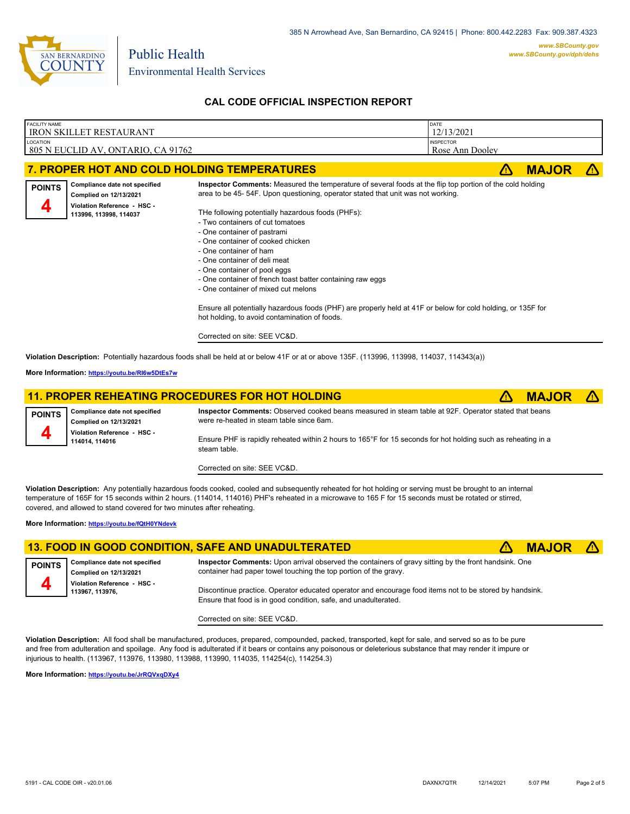

# **CAL CODE OFFICIAL INSPECTION REPORT**

| <b>INSPECTOR</b><br>LOCATION<br>805 N EUCLID AV, ONTARIO, CA 91762<br>Rose Ann Dooley<br><b>MAJOR</b><br>7. PROPER HOT AND COLD HOLDING TEMPERATURES<br>71<br>Inspector Comments: Measured the temperature of several foods at the flip top portion of the cold holding<br>Compliance date not specified<br><b>POINTS</b><br>area to be 45-54F. Upon questioning, operator stated that unit was not working.<br>Complied on 12/13/2021<br>Violation Reference - HSC -<br>THe following potentially hazardous foods (PHFs):<br>113996, 113998, 114037<br>- Two containers of cut tomatoes<br>- One container of pastrami<br>- One container of cooked chicken<br>- One container of ham<br>- One container of deli meat<br>- One container of pool eggs<br>- One container of french toast batter containing raw eggs<br>- One container of mixed cut melons<br>Ensure all potentially hazardous foods (PHF) are properly held at 41F or below for cold holding, or 135F for<br>hot holding, to avoid contamination of foods.<br>Corrected on site: SEE VC&D.<br>Violation Description: Potentially hazardous foods shall be held at or below 41F or at or above 135F. (113996, 113998, 114037, 114343(a))<br>More Information: https://youtu.be/RI6w5DtEs7w<br><b>11. PROPER REHEATING PROCEDURES FOR HOT HOLDING</b><br><b>MAJOR</b><br>$\sqrt{N}$<br>ÆΝ<br>Inspector Comments: Observed cooked beans measured in steam table at 92F. Operator stated that beans<br>Compliance date not specified<br><b>POINTS</b><br>were re-heated in steam table since 6am.<br>Complied on 12/13/2021 | <b>FACILITY NAME</b> | <b>IRON SKILLET RESTAURANT</b> | DATE<br>12/13/2021 |  |
|-------------------------------------------------------------------------------------------------------------------------------------------------------------------------------------------------------------------------------------------------------------------------------------------------------------------------------------------------------------------------------------------------------------------------------------------------------------------------------------------------------------------------------------------------------------------------------------------------------------------------------------------------------------------------------------------------------------------------------------------------------------------------------------------------------------------------------------------------------------------------------------------------------------------------------------------------------------------------------------------------------------------------------------------------------------------------------------------------------------------------------------------------------------------------------------------------------------------------------------------------------------------------------------------------------------------------------------------------------------------------------------------------------------------------------------------------------------------------------------------------------------------------------------------------------------------------------------------|----------------------|--------------------------------|--------------------|--|
|                                                                                                                                                                                                                                                                                                                                                                                                                                                                                                                                                                                                                                                                                                                                                                                                                                                                                                                                                                                                                                                                                                                                                                                                                                                                                                                                                                                                                                                                                                                                                                                           |                      |                                |                    |  |
|                                                                                                                                                                                                                                                                                                                                                                                                                                                                                                                                                                                                                                                                                                                                                                                                                                                                                                                                                                                                                                                                                                                                                                                                                                                                                                                                                                                                                                                                                                                                                                                           |                      |                                |                    |  |
|                                                                                                                                                                                                                                                                                                                                                                                                                                                                                                                                                                                                                                                                                                                                                                                                                                                                                                                                                                                                                                                                                                                                                                                                                                                                                                                                                                                                                                                                                                                                                                                           |                      |                                |                    |  |
|                                                                                                                                                                                                                                                                                                                                                                                                                                                                                                                                                                                                                                                                                                                                                                                                                                                                                                                                                                                                                                                                                                                                                                                                                                                                                                                                                                                                                                                                                                                                                                                           |                      |                                |                    |  |
|                                                                                                                                                                                                                                                                                                                                                                                                                                                                                                                                                                                                                                                                                                                                                                                                                                                                                                                                                                                                                                                                                                                                                                                                                                                                                                                                                                                                                                                                                                                                                                                           |                      |                                |                    |  |
|                                                                                                                                                                                                                                                                                                                                                                                                                                                                                                                                                                                                                                                                                                                                                                                                                                                                                                                                                                                                                                                                                                                                                                                                                                                                                                                                                                                                                                                                                                                                                                                           |                      |                                |                    |  |
|                                                                                                                                                                                                                                                                                                                                                                                                                                                                                                                                                                                                                                                                                                                                                                                                                                                                                                                                                                                                                                                                                                                                                                                                                                                                                                                                                                                                                                                                                                                                                                                           |                      |                                |                    |  |
| Violation Reference - HSC -<br>Ensure PHF is rapidly reheated within 2 hours to 165°F for 15 seconds for hot holding such as reheating in a<br>114014, 114016                                                                                                                                                                                                                                                                                                                                                                                                                                                                                                                                                                                                                                                                                                                                                                                                                                                                                                                                                                                                                                                                                                                                                                                                                                                                                                                                                                                                                             |                      |                                |                    |  |

**Violation Description:** Any potentially hazardous foods cooked, cooled and subsequently reheated for hot holding or serving must be brought to an internal temperature of 165F for 15 seconds within 2 hours. (114014, 114016) PHF's reheated in a microwave to 165 F for 15 seconds must be rotated or stirred, covered, and allowed to stand covered for two minutes after reheating.

**More Information: <https://youtu.be/fQtH0YNdevk>**

|                     |                                                                | 13. FOOD IN GOOD CONDITION, SAFE AND UNADULTERATED                                                                                                                         | <b>MAJOR A</b> |  |
|---------------------|----------------------------------------------------------------|----------------------------------------------------------------------------------------------------------------------------------------------------------------------------|----------------|--|
| POINTS <sup>1</sup> | Compliance date not specified<br><b>Complied on 12/13/2021</b> | Inspector Comments: Upon arrival observed the containers of gravy sitting by the front handsink. One<br>container had paper towel touching the top portion of the gravy.   |                |  |
|                     | Violation Reference - HSC -<br>113967, 113976,                 | Discontinue practice. Operator educated operator and encourage food items not to be stored by handsink.<br>Ensure that food is in good condition, safe, and unadulterated. |                |  |

Corrected on site: SEE VC&D.

Corrected on site: SEE VC&D.

**Violation Description:** All food shall be manufactured, produces, prepared, compounded, packed, transported, kept for sale, and served so as to be pure and free from adulteration and spoilage. Any food is adulterated if it bears or contains any poisonous or deleterious substance that may render it impure or injurious to health. (113967, 113976, 113980, 113988, 113990, 114035, 114254(c), 114254.3)

**More Information: <https://youtu.be/JrRQVxqDXy4>**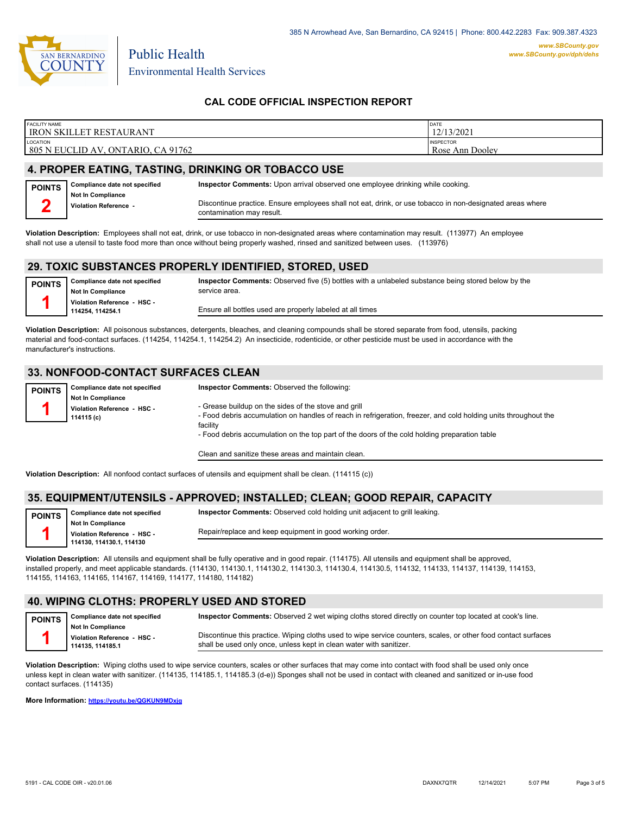

Environmental Health Services

Public Health

## **CAL CODE OFFICIAL INSPECTION REPORT**

| <b>FACILITY NAME</b>               | DATE             |
|------------------------------------|------------------|
| <b>IRON SKILLET RESTAURANT</b>     | 12/13/2021       |
| <b>LOCATION</b>                    | <b>INSPECTOR</b> |
| 805 N EUCLID AV, ONTARIO, CA 91762 | Rose Ann Dooley  |
|                                    |                  |

## **4. PROPER EATING, TASTING, DRINKING OR TOBACCO USE**

| <b>POINTS</b> | Compliance date not specified              | Inspector Comments: Upon arrival observed one employee drinking while cooking.                                                         |
|---------------|--------------------------------------------|----------------------------------------------------------------------------------------------------------------------------------------|
|               | Not In Compliance<br>Violation Reference - | Discontinue practice. Ensure employees shall not eat, drink, or use tobacco in non-designated areas where<br>contamination may result. |

**Violation Description:** Employees shall not eat, drink, or use tobacco in non-designated areas where contamination may result. (113977) An employee shall not use a utensil to taste food more than once without being properly washed, rinsed and sanitized between uses. (113976)

#### **29. TOXIC SUBSTANCES PROPERLY IDENTIFIED, STORED, USED**

| <b>POINTS</b> | Compliance date not specified                  | Inspector Comments: Observed five (5) bottles with a unlabeled substance being stored below by the |
|---------------|------------------------------------------------|----------------------------------------------------------------------------------------------------|
|               | <b>Not In Compliance</b>                       | service area.                                                                                      |
|               | Violation Reference - HSC -<br>114254.114254.1 | Ensure all bottles used are properly labeled at all times                                          |
|               |                                                |                                                                                                    |

**Violation Description:** All poisonous substances, detergents, bleaches, and cleaning compounds shall be stored separate from food, utensils, packing material and food-contact surfaces. (114254, 114254.1, 114254.2) An insecticide, rodenticide, or other pesticide must be used in accordance with the manufacturer's instructions.

### **33. NONFOOD-CONTACT SURFACES CLEAN**

| <b>POINTS</b>                                                                                                                 |  |
|-------------------------------------------------------------------------------------------------------------------------------|--|
| <b>Not In Compliance</b>                                                                                                      |  |
| - Grease buildup on the sides of the stove and grill<br>Violation Reference - HSC -                                           |  |
| - Food debris accumulation on handles of reach in refrigeration, freezer, and cold holding units throughout the<br>114115 (c) |  |
| facility                                                                                                                      |  |
| - Food debris accumulation on the top part of the doors of the cold holding preparation table                                 |  |

Clean and sanitize these areas and maintain clean.

**Violation Description:** All nonfood contact surfaces of utensils and equipment shall be clean. (114115 (c))

### **35. EQUIPMENT/UTENSILS - APPROVED; INSTALLED; CLEAN; GOOD REPAIR, CAPACITY**

| <b>POINTS</b> | Compliance date not specified |
|---------------|-------------------------------|
|               | <b>Not In Compliance</b>      |
|               | Violation Reference - HSC -   |
|               | 114130 114130 1 114130        |

**Violation Reference - HSC - 114130, 114130.1, 114130**

Repair/replace and keep equipment in good working order.

**Inspector Comments:** Observed cold holding unit adjacent to grill leaking.

**Violation Description:** All utensils and equipment shall be fully operative and in good repair. (114175). All utensils and equipment shall be approved, installed properly, and meet applicable standards. (114130, 114130.1, 114130.2, 114130.3, 114130.4, 114130.5, 114132, 114133, 114137, 114139, 114153, 114155, 114163, 114165, 114167, 114169, 114177, 114180, 114182)

#### **40. WIPING CLOTHS: PROPERLY USED AND STORED**

| <b>POINTS</b> Compliance date not specified | Inspector Comments: Observed 2 wet wiping cloths stored directly on counter top located at cook's line.        |
|---------------------------------------------|----------------------------------------------------------------------------------------------------------------|
| Not In Compliance                           |                                                                                                                |
| Violation Reference - HSC -                 | Discontinue this practice. Wiping cloths used to wipe service counters, scales, or other food contact surfaces |
| 114135.114185.1                             | shall be used only once, unless kept in clean water with sanitizer.                                            |

**Violation Description:** Wiping cloths used to wipe service counters, scales or other surfaces that may come into contact with food shall be used only once unless kept in clean water with sanitizer. (114135, 114185.1, 114185.3 (d-e)) Sponges shall not be used in contact with cleaned and sanitized or in-use food contact surfaces. (114135)

**More Information: <https://youtu.be/QGKUN9MDxjg>**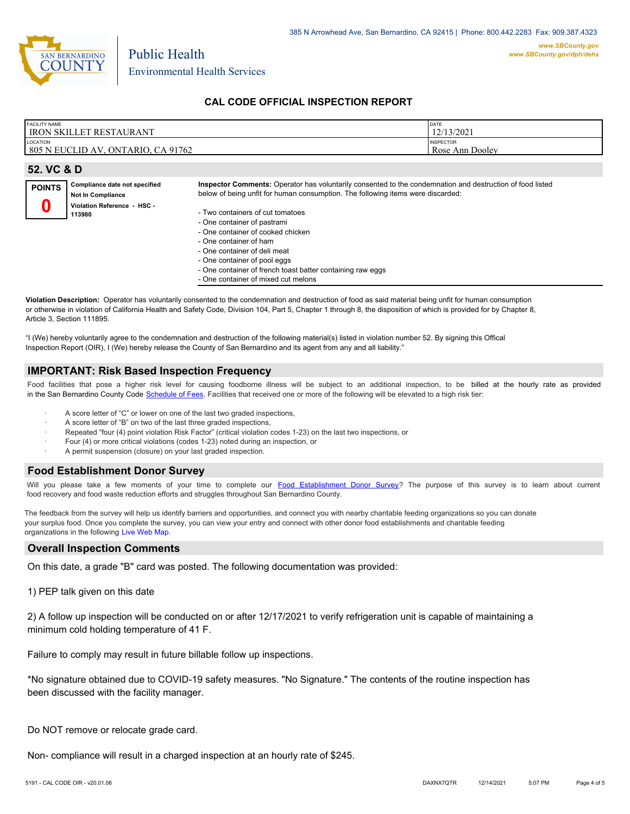

#### **CAL CODE OFFICIAL INSPECTION REPORT**

| <b>FACILITY NAME</b><br><b>IRON SKILLET</b><br>' RESTAURANT      | DATE<br>12/13/2021                     |
|------------------------------------------------------------------|----------------------------------------|
| LOCATION<br>1805 N<br>CA 91762<br><b>ONTARIO</b><br>EUCLID<br>AV | <b>INSPECTOR</b><br>Ann Dooley<br>Rose |

| 52. VC & D    |                                                           |                                                                                                                                                                                              |  |
|---------------|-----------------------------------------------------------|----------------------------------------------------------------------------------------------------------------------------------------------------------------------------------------------|--|
| <b>POINTS</b> | Compliance date not specified<br><b>Not In Compliance</b> | Inspector Comments: Operator has voluntarily consented to the condemnation and destruction of food listed<br>below of being unfit for human consumption. The following items were discarded: |  |
|               | Violation Reference - HSC -<br>113980                     | - Two containers of cut tomatoes<br>- One container of pastrami<br>- One container of cooked chicken                                                                                         |  |
|               |                                                           | - One container of ham<br>- One container of deli meat                                                                                                                                       |  |

- One container of deli meat
- One container of pool eggs
- One container of french toast batter containing raw eggs
- One container of mixed cut melons

**Violation Description:** Operator has voluntarily consented to the condemnation and destruction of food as said material being unfit for human consumption or otherwise in violation of California Health and Safety Code, Division 104, Part 5, Chapter 1 through 8, the disposition of which is provided for by Chapter 8, Article 3, Section 111895.

"I (We) hereby voluntarily agree to the condemnation and destruction of the following material(s) listed in violation number 52. By signing this Offical Inspection Report (OIR), I (We) hereby release the County of San Bernardino and its agent from any and all liability."

#### **IMPORTANT: Risk Based Inspection Frequency**

Food facilities that pose a higher risk level for causing foodborne illness will be subject to an additional inspection, to be billed at the hourly rate as provided in the San Bernardino Count[y Code Schedule of Fees. Facilitie](https://codelibrary.amlegal.com/codes/sanbernardino/latest/sanberncty_ca/0-0-0-122474#JD_16.0213B)s that received one or more of the following will be elevated to a high risk tier:

A score letter of "C" or lower on one of the last two graded inspections,

Public Health

- A score letter of "B" on two of the last three graded inspections,
- Repeated "four (4) point violation Risk Factor" (critical violation codes 1-23) on the last two inspections, or
- Four (4) or more critical violations (codes 1-23) noted during an inspection, or
- A permit suspension (closure) on your last graded inspection.

#### **Food Establishment Donor Survey**

Will you please take a few moments of your time to co[mplete our Food Establishment Donor Survey?](https://survey123.arcgis.com/share/626bb0fb21674c82832b0c0d557c5e80?field:faid=FA0009844&field:facility_name=IRON%20SKILLET%20RESTAURANT¢er=34.07,-117.65&field:phone=) The purpose of this survey is to learn about current food recovery and food waste reduction efforts and struggles throughout San Bernardino County.

The feedback from the survey will help us identify barriers and opportunities, and connect you with nearby charitable feeding organizations so you can donate your surplus food. Once you complete the survey, you can view your entry and connect with other donor food establishments and charitable feeding organizations in the fol[lowing Live Web Map.](https://arcg.is/WvjGb)

#### **Overall Inspection Comments**

On this date, a grade "B" card was posted. The following documentation was provided:

#### 1) PEP talk given on this date

2) A follow up inspection will be conducted on or after 12/17/2021 to verify refrigeration unit is capable of maintaining a minimum cold holding temperature of 41 F.

Failure to comply may result in future billable follow up inspections.

\*No signature obtained due to COVID-19 safety measures. "No Signature." The contents of the routine inspection has been discussed with the facility manager.

Do NOT remove or relocate grade card.

Non- compliance will result in a charged inspection at an hourly rate of \$245.